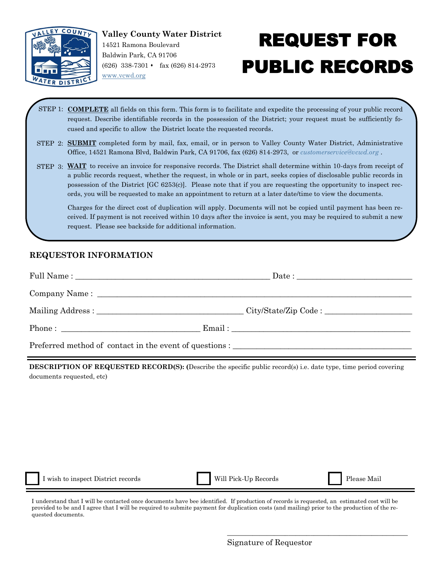

## REQUEST FOR PUBLIC RECORDS

- STEP 1: **COMPLETE** all fields on this form. This form is to facilitate and expedite the processing of your public record request. Describe identifiable records in the possession of the District; your request must be sufficiently focused and specific to allow the District locate the requested records.
- STEP 2: **SUBMIT** completed form by mail, fax, email, or in person to Valley County Water District, Administrative Office, 14521 Ramona Blvd, Baldwin Park, CA 91706, fax (626) 814-2973, or *customerservice@vcwd.org* .
- STEP 3: WAIT to receive an invoice for responsive records. The District shall determine within 10-days from receipt of a public records request, whether the request, in whole or in part, seeks copies of disclosable public records in possession of the District [GC 6253(c)]. Please note that if you are requesting the opportunity to inspect records, you will be requested to make an appointment to return at a later date/time to view the documents.

Charges for the direct cost of duplication will apply. Documents will not be copied until payment has been received. If payment is not received within 10 days after the invoice is sent, you may be required to submit a new request. Please see backside for additional information.

## **REQUESTOR INFORMATION**

| Phone : $\qquad \qquad$ Email : |  |  |
|---------------------------------|--|--|
|                                 |  |  |

**DESCRIPTION OF REQUESTED RECORD(S): (**Describe the specific public record(s) i.e. date type, time period covering documents requested, etc)

I wish to inspect District records Will Pick-Up Records Please Mail

\_\_\_\_\_\_\_\_\_\_\_\_\_\_\_\_\_\_\_\_\_\_\_\_\_\_\_\_\_\_\_\_\_\_\_\_\_\_\_\_\_\_\_\_\_\_\_\_\_\_

I understand that I will be contacted once documents have bee identified. If production of records is requested, an estimated cost will be provided to be and I agree that I will be required to submite payment for duplication costs (and mailing) prior to the production of the requested documents.